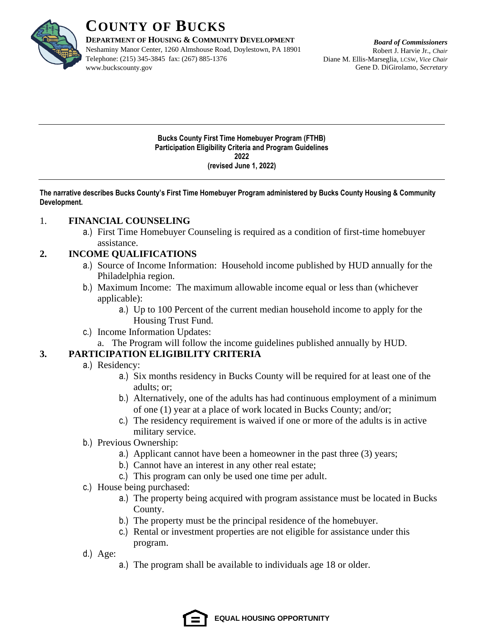

**DEPARTMENT OF HOUSING & COMMUNITY DEVELOPMENT**

Neshaminy Manor Center, 1260 Almshouse Road, Doylestown, PA 18901 Telephone: (215) 345-3845 fax: (267) 885-1376 www.buckscounty.gov

*Board of Commissioners* Robert J. Harvie Jr., *Chair* Diane M. Ellis-Marseglia, LCSW, *Vice Chair* Gene D. DiGirolamo, *Secretary*

**Bucks County First Time Homebuyer Program (FTHB) Participation Eligibility Criteria and Program Guidelines 2022 (revised June 1, 2022)**

**The narrative describes Bucks County's First Time Homebuyer Program administered by Bucks County Housing & Community Development.** 

## 1. **FINANCIAL COUNSELING**

a.) First Time Homebuyer Counseling is required as a condition of first-time homebuyer assistance.

## **2. INCOME QUALIFICATIONS**

- a.) Source of Income Information: Household income published by HUD annually for the Philadelphia region.
- b.) Maximum Income: The maximum allowable income equal or less than (whichever applicable):
	- a.) Up to 100 Percent of the current median household income to apply for the Housing Trust Fund.
- c.) Income Information Updates:
- a. The Program will follow the income guidelines published annually by HUD.

## **3. PARTICIPATION ELIGIBILITY CRITERIA**

- a.) Residency:
	- a.) Six months residency in Bucks County will be required for at least one of the adults; or;
	- b.) Alternatively, one of the adults has had continuous employment of a minimum of one (1) year at a place of work located in Bucks County; and/or;
	- c.) The residency requirement is waived if one or more of the adults is in active military service.
- b.) Previous Ownership:
	- a.) Applicant cannot have been a homeowner in the past three (3) years;
	- b.) Cannot have an interest in any other real estate;
	- c.) This program can only be used one time per adult.
- c.) House being purchased:
	- a.) The property being acquired with program assistance must be located in Bucks County.
	- b.) The property must be the principal residence of the homebuyer.
	- c.) Rental or investment properties are not eligible for assistance under this program.
- d.) Age:
	- a.) The program shall be available to individuals age 18 or older.

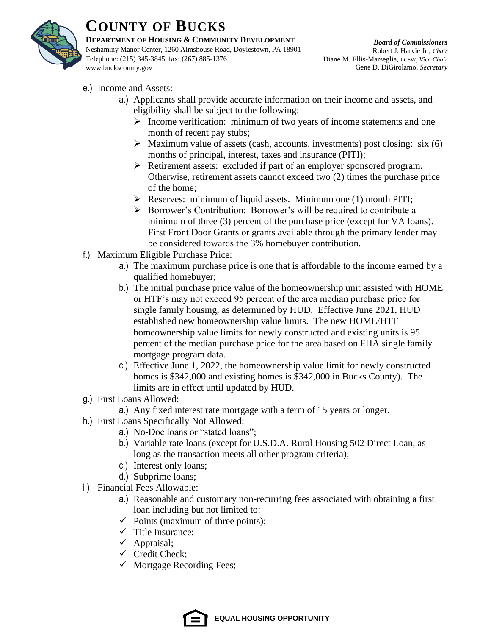

#### **DEPARTMENT OF HOUSING & COMMUNITY DEVELOPMENT**

Neshaminy Manor Center, 1260 Almshouse Road, Doylestown, PA 18901 Telephone: (215) 345-3845 fax: (267) 885-1376 www.buckscounty.gov

*Board of Commissioners* Robert J. Harvie Jr., *Chair* Diane M. Ellis-Marseglia, LCSW, *Vice Chair* Gene D. DiGirolamo, *Secretary*

- e.) Income and Assets:
	- a.) Applicants shall provide accurate information on their income and assets, and eligibility shall be subject to the following:
		- ➢ Income verification: minimum of two years of income statements and one month of recent pay stubs;
		- $\triangleright$  Maximum value of assets (cash, accounts, investments) post closing: six (6) months of principal, interest, taxes and insurance (PITI);
		- ➢ Retirement assets: excluded if part of an employer sponsored program. Otherwise, retirement assets cannot exceed two (2) times the purchase price of the home;
		- ➢ Reserves: minimum of liquid assets. Minimum one (1) month PITI;
		- ➢ Borrower's Contribution: Borrower's will be required to contribute a minimum of three (3) percent of the purchase price (except for VA loans). First Front Door Grants or grants available through the primary lender may be considered towards the 3% homebuyer contribution.
- f.) Maximum Eligible Purchase Price:
	- a.) The maximum purchase price is one that is affordable to the income earned by a qualified homebuyer;
	- b.) The initial purchase price value of the homeownership unit assisted with HOME or HTF's may not exceed 95 percent of the area median purchase price for single family housing, as determined by HUD. Effective June 2021, HUD established new homeownership value limits. The new HOME/HTF homeownership value limits for newly constructed and existing units is 95 percent of the median purchase price for the area based on FHA single family mortgage program data.
	- c.) Effective June 1, 2022, the homeownership value limit for newly constructed homes is \$342,000 and existing homes is \$342,000 in Bucks County). The limits are in effect until updated by HUD.
- g.) First Loans Allowed:
	- a.) Any fixed interest rate mortgage with a term of 15 years or longer.
- h.) First Loans Specifically Not Allowed:
	- a.) No-Doc loans or "stated loans";
	- b.) Variable rate loans (except for U.S.D.A. Rural Housing 502 Direct Loan, as long as the transaction meets all other program criteria);
	- c.) Interest only loans;
	- d.) Subprime loans;
- i.) Financial Fees Allowable:
	- a.) Reasonable and customary non-recurring fees associated with obtaining a first loan including but not limited to:
	- $\checkmark$  Points (maximum of three points);
	- $\checkmark$  Title Insurance;
	- $\checkmark$  Appraisal;
	- $\checkmark$  Credit Check;
	- $\checkmark$  Mortgage Recording Fees;

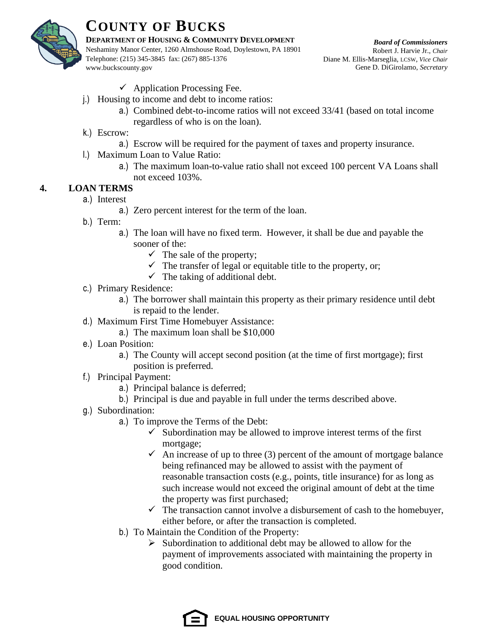

#### **DEPARTMENT OF HOUSING & COMMUNITY DEVELOPMENT**

Neshaminy Manor Center, 1260 Almshouse Road, Doylestown, PA 18901 Telephone: (215) 345-3845 fax: (267) 885-1376 www.buckscounty.gov

*Board of Commissioners* Robert J. Harvie Jr., *Chair* Diane M. Ellis-Marseglia, LCSW, *Vice Chair* Gene D. DiGirolamo, *Secretary*

- $\checkmark$  Application Processing Fee.
- j.) Housing to income and debt to income ratios:
	- a.) Combined debt-to-income ratios will not exceed 33/41 (based on total income regardless of who is on the loan).
- k.) Escrow:
	- a.) Escrow will be required for the payment of taxes and property insurance.
- l.) Maximum Loan to Value Ratio:
	- a.) The maximum loan-to-value ratio shall not exceed 100 percent VA Loans shall not exceed 103%.

## **4. LOAN TERMS**

- a.) Interest
	- a.) Zero percent interest for the term of the loan.
- b.) Term:
	- a.) The loan will have no fixed term. However, it shall be due and payable the sooner of the:
		- $\checkmark$  The sale of the property;
		- $\checkmark$  The transfer of legal or equitable title to the property, or;
		- $\checkmark$  The taking of additional debt.
- c.) Primary Residence:
	- a.) The borrower shall maintain this property as their primary residence until debt is repaid to the lender.
- d.) Maximum First Time Homebuyer Assistance:
	- a.) The maximum loan shall be \$10,000
- e.) Loan Position:
	- a.) The County will accept second position (at the time of first mortgage); first position is preferred.
- f.) Principal Payment:
	- a.) Principal balance is deferred;
	- b.) Principal is due and payable in full under the terms described above.
- g.) Subordination:
	- a.) To improve the Terms of the Debt:
		- $\checkmark$  Subordination may be allowed to improve interest terms of the first mortgage;
		- $\checkmark$  An increase of up to three (3) percent of the amount of mortgage balance being refinanced may be allowed to assist with the payment of reasonable transaction costs (e.g., points, title insurance) for as long as such increase would not exceed the original amount of debt at the time the property was first purchased;
		- $\checkmark$  The transaction cannot involve a disbursement of cash to the homebuyer, either before, or after the transaction is completed.
	- b.) To Maintain the Condition of the Property:
		- ➢ Subordination to additional debt may be allowed to allow for the payment of improvements associated with maintaining the property in good condition.